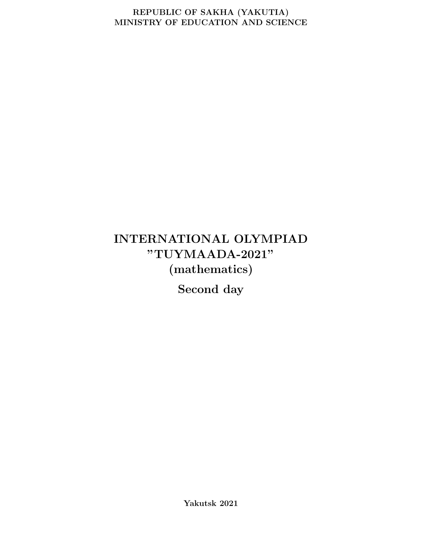#### REPUBLIC OF SAKHA (YAKUTIA) MINISTRY OF EDUCATION AND SCIENCE

# INTERNATIONAL OLYMPIAD "TUYMAADA-2021" (mathematics)

Second day

Yakutsk 2021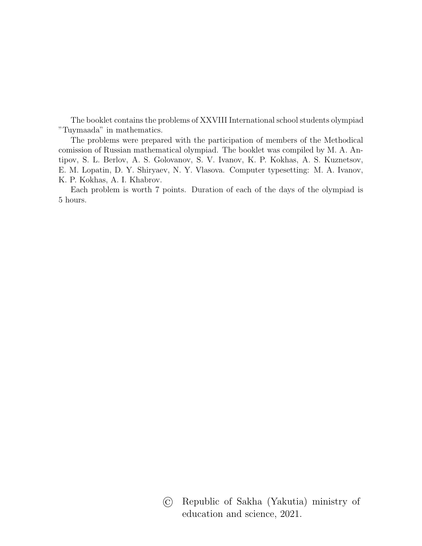The booklet contains the problems of XXVIII International school students olympiad "Tuymaada" in mathematics.

The problems were prepared with the participation of members of the Methodical comission of Russian mathematical olympiad. The booklet was compiled by M. A. Antipov, S. L. Berlov, A. S. Golovanov, S. V. Ivanov, K. P. Kokhas, A. S. Kuznetsov, E. M. Lopatin, D. Y. Shiryaev, N. Y. Vlasova. Computer typesetting: M. A. Ivanov, K. P. Kokhas, A. I. Khabrov.

Each problem is worth 7 points. Duration of each of the days of the olympiad is 5 hours.

> © Republic of Sakha (Yakutia) ministry of education and science, 2021.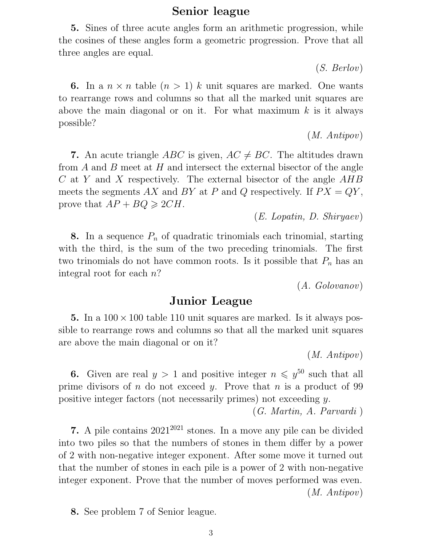## Senior league

5. Sines of three acute angles form an arithmetic progression, while the cosines of these angles form a geometric progression. Prove that all three angles are equal.

(S. Berlov)

6. In a  $n \times n$  table  $(n > 1)$  k unit squares are marked. One wants to rearrange rows and columns so that all the marked unit squares are above the main diagonal or on it. For what maximum  $k$  is it always possible?

(M. Antipov)

7. An acute triangle *ABC* is given,  $AC \neq BC$ . The altitudes drawn from A and B meet at H and intersect the external bisector of the angle  $C$  at Y and X respectively. The external bisector of the angle  $AHB$ meets the segments AX and BY at P and Q respectively. If  $PX = QY$ , prove that  $AP + BQ \geqslant 2CH$ .

(E. Lopatin, D. Shiryaev)

8. In a sequence  $P_n$  of quadratic trinomials each trinomial, starting with the third, is the sum of the two preceding trinomials. The first two trinomials do not have common roots. Is it possible that  $P_n$  has an integral root for each n?

(A. Golovanov)

## Junior League

5. In a  $100 \times 100$  table 110 unit squares are marked. Is it always possible to rearrange rows and columns so that all the marked unit squares are above the main diagonal or on it?

(M. Antipov)

**6.** Given are real  $y > 1$  and positive integer  $n \leq y^{50}$  such that all prime divisors of  $n$  do not exceed  $y$ . Prove that  $n$  is a product of 99 positive integer factors (not necessarily primes) not exceeding y.

(G. Martin, A. Parvardi )

7. A pile contains  $2021^{2021}$  stones. In a move any pile can be divided into two piles so that the numbers of stones in them differ by a power of 2 with non-negative integer exponent. After some move it turned out that the number of stones in each pile is a power of 2 with non-negative integer exponent. Prove that the number of moves performed was even. (M. Antipov)

8. See problem 7 of Senior league.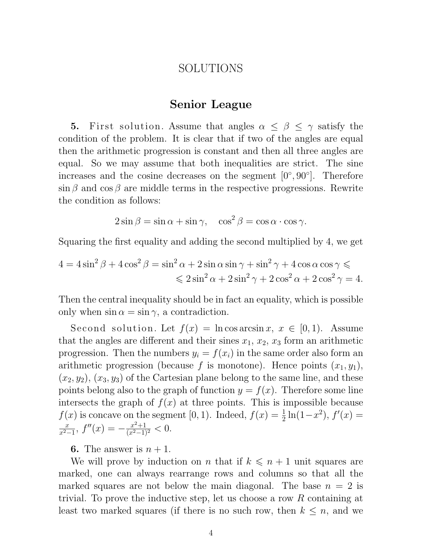## SOLUTIONS

### Senior League

5. First solution. Assume that angles  $\alpha \leq \beta \leq \gamma$  satisfy the condition of the problem. It is clear that if two of the angles are equal then the arithmetic progression is constant and then all three angles are equal. So we may assume that both inequalities are strict. The sine increases and the cosine decreases on the segment  $[0^{\circ}, 90^{\circ}]$ . Therefore  $\sin \beta$  and  $\cos \beta$  are middle terms in the respective progressions. Rewrite the condition as follows:

$$
2\sin\beta = \sin\alpha + \sin\gamma, \quad \cos^2\beta = \cos\alpha \cdot \cos\gamma.
$$

Squaring the first equality and adding the second multiplied by 4, we get

$$
4 = 4\sin^2\beta + 4\cos^2\beta = \sin^2\alpha + 2\sin\alpha\sin\gamma + \sin^2\gamma + 4\cos\alpha\cos\gamma \leq
$$
  

$$
\leq 2\sin^2\alpha + 2\sin^2\gamma + 2\cos^2\alpha + 2\cos^2\gamma = 4.
$$

Then the central inequality should be in fact an equality, which is possible only when  $\sin \alpha = \sin \gamma$ , a contradiction.

Second solution. Let  $f(x) = \ln \cos \arcsin x$ ,  $x \in [0, 1)$ . Assume that the angles are different and their sines  $x_1, x_2, x_3$  form an arithmetic progression. Then the numbers  $y_i = f(x_i)$  in the same order also form an arithmetic progression (because f is monotone). Hence points  $(x_1, y_1)$ ,  $(x_2, y_2), (x_3, y_3)$  of the Cartesian plane belong to the same line, and these points belong also to the graph of function  $y = f(x)$ . Therefore some line intersects the graph of  $f(x)$  at three points. This is impossible because  $f(x)$  is concave on the segment [0, 1). Indeed,  $f(x) = \frac{1}{2} \ln(1-x^2)$ ,  $f'(x) =$  $\overline{x}$  $\frac{x}{x^2-1}$ ,  $f''(x) = -\frac{x^2+1}{(x^2-1)}$  $\frac{x^2+1}{(x^2-1)^2} < 0.$ 

**6.** The answer is  $n + 1$ .

We will prove by induction on n that if  $k \leq n + 1$  unit squares are marked, one can always rearrange rows and columns so that all the marked squares are not below the main diagonal. The base  $n = 2$  is trivial. To prove the inductive step, let us choose a row R containing at least two marked squares (if there is no such row, then  $k \leq n$ , and we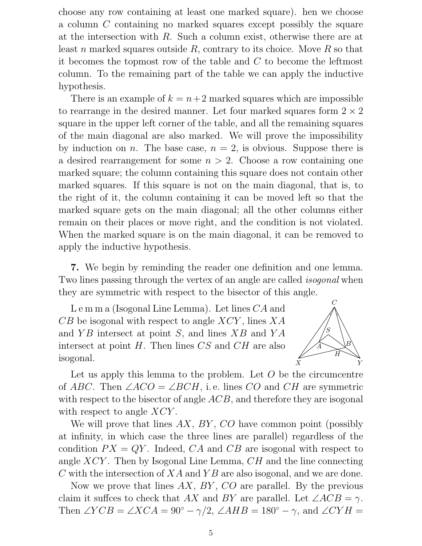choose any row containing at least one marked square). hen we choose a column C containing no marked squares except possibly the square at the intersection with R. Such a column exist, otherwise there are at least n marked squares outside  $R$ , contrary to its choice. Move  $R$  so that it becomes the topmost row of the table and C to become the leftmost column. To the remaining part of the table we can apply the inductive hypothesis.

There is an example of  $k = n+2$  marked squares which are impossible to rearrange in the desired manner. Let four marked squares form  $2 \times 2$ square in the upper left corner of the table, and all the remaining squares of the main diagonal are also marked. We will prove the impossibility by induction on n. The base case,  $n = 2$ , is obvious. Suppose there is a desired rearrangement for some  $n > 2$ . Choose a row containing one marked square; the column containing this square does not contain other marked squares. If this square is not on the main diagonal, that is, to the right of it, the column containing it can be moved left so that the marked square gets on the main diagonal; all the other columns either remain on their places or move right, and the condition is not violated. When the marked square is on the main diagonal, it can be removed to apply the inductive hypothesis.

7. We begin by reminding the reader one definition and one lemma. Two lines passing through the vertex of an angle are called *isogonal* when they are symmetric with respect to the bisector of this angle.

L e m m a (Isogonal Line Lemma). Let lines CA and  $CB$  be isogonal with respect to angle  $XCY$ , lines  $XA$ and  $YB$  intersect at point S, and lines  $XB$  and  $YA$ intersect at point  $H$ . Then lines  $CS$  and  $CH$  are also isogonal.



Let us apply this lemma to the problem. Let  $O$  be the circumcentre of ABC. Then  $\angle ACO = \angle BCH$ , i.e. lines CO and CH are symmetric with respect to the bisector of angle ACB, and therefore they are isogonal with respect to angle  $XCY$ .

We will prove that lines  $AX$ ,  $BY$ ,  $CO$  have common point (possibly at infinity, in which case the three lines are parallel) regardless of the condition  $PX = QY$ . Indeed,  $CA$  and  $CB$  are isogonal with respect to angle  $XCY$ . Then by Isogonal Line Lemma,  $CH$  and the line connecting C with the intersection of  $XA$  and  $YB$  are also isogonal, and we are done.

Now we prove that lines  $AX$ ,  $BY$ ,  $CO$  are parallel. By the previous claim it suffces to check that AX and BY are parallel. Let  $\angle ACB = \gamma$ . Then ∠ $YCB = \angle XCA = 90^\circ - \gamma/2$ , ∠ $AHB = 180^\circ - \gamma$ , and ∠CY H =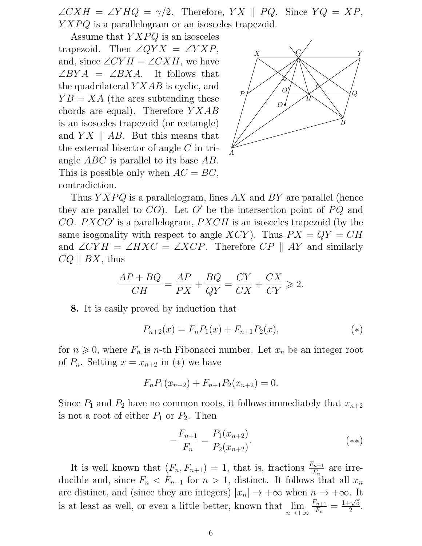$\angle CXH = \angle YHQ = \gamma/2$ . Therefore, YX || PQ. Since  $YQ = XP$ ,  $YXPQ$  is a parallelogram or an isosceles trapezoid.

Assume that  $YXPQ$  is an isosceles

trapezoid. Then  $\angle QYX = \angle YXP$ , and, since  $\angle CYH = \angle CXH$ , we have  $\angle BYA = \angle BXA$ . It follows that the quadrilateral  $YXAB$  is cyclic, and  $YB = XA$  (the arcs subtending these chords are equal). Therefore  $YXAB$ is an isosceles trapezoid (or rectangle) and  $Y X \parallel AB$ . But this means that the external bisector of angle C in triangle ABC is parallel to its base AB. This is possible only when  $AC = BC$ , contradiction.



Thus  $YXPQ$  is a parallelogram, lines AX and BY are parallel (hence they are parallel to  $CO$ ). Let O' be the intersection point of  $PQ$  and CO.  $PXCO'$  is a parallelogram,  $PXCH$  is an isosceles trapezoid (by the same isogonality with respect to angle XCY). Thus  $PX = QY = CH$ and  $\angle CYH = \angle HXC = \angle XCP$ . Therefore  $CP \parallel AY$  and similarly  $CQ \parallel BX$ , thus

$$
\frac{AP + BQ}{CH} = \frac{AP}{PX} + \frac{BQ}{QY} = \frac{CY}{CX} + \frac{CX}{CY} \ge 2.
$$

8. It is easily proved by induction that

$$
P_{n+2}(x) = F_n P_1(x) + F_{n+1} P_2(x),
$$
\n<sup>(\*)</sup>

for  $n \geq 0$ , where  $F_n$  is *n*-th Fibonacci number. Let  $x_n$  be an integer root of  $P_n$ . Setting  $x = x_{n+2}$  in  $(*)$  we have

$$
F_n P_1(x_{n+2}) + F_{n+1} P_2(x_{n+2}) = 0.
$$

Since  $P_1$  and  $P_2$  have no common roots, it follows immediately that  $x_{n+2}$ is not a root of either  $P_1$  or  $P_2$ . Then

$$
-\frac{F_{n+1}}{F_n} = \frac{P_1(x_{n+2})}{P_2(x_{n+2})}.
$$
\n
$$
(**)
$$

It is well known that  $(F_n, F_{n+1}) = 1$ , that is, fractions  $\frac{F_{n+1}}{F_n}$  are irreducible and, since  $F_n < F_{n+1}$  for  $n > 1$ , distinct. It follows that all  $x_n$ are distinct, and (since they are integers)  $|x_n| \to +\infty$  when  $n \to +\infty$ . It is at least as well, or even a little better, known that lim  $n\rightarrow+\infty$  $F_{n+1}$  $\frac{F_{n+1}}{F_n} = \frac{1+\sqrt{5}}{2}$  $rac{\sqrt{5}}{2}$ .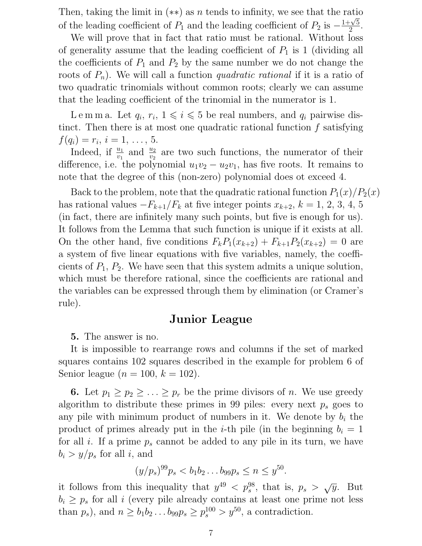Then, taking the limit in  $(**)$  as n tends to infinity, we see that the ratio of the leading coefficient of  $P_1$  and the leading coefficient of  $P_2$  is  $-\frac{1+\sqrt{5}}{2}$  $rac{1}{2}$ .

We will prove that in fact that ratio must be rational. Without loss of generality assume that the leading coefficient of  $P_1$  is 1 (dividing all the coefficients of  $P_1$  and  $P_2$  by the same number we do not change the roots of  $P_n$ ). We will call a function *quadratic rational* if it is a ratio of two quadratic trinomials without common roots; clearly we can assume that the leading coefficient of the trinomial in the numerator is 1.

Lemma. Let  $q_i, r_i, 1 \leqslant i \leqslant 5$  be real numbers, and  $q_i$  pairwise distinct. Then there is at most one quadratic rational function  $f$  satisfying  $f(q_i) = r_i, i = 1, \ldots, 5.$ 

Indeed, if  $\frac{u_1}{v_1}$  and  $\frac{u_2}{v_2}$  are two such functions, the numerator of their difference, i.e. the polynomial  $u_1v_2 - u_2v_1$ , has five roots. It remains to note that the degree of this (non-zero) polynomial does ot exceed 4.

Back to the problem, note that the quadratic rational function  $P_1(x)/P_2(x)$ has rational values  $-F_{k+1}/F_k$  at five integer points  $x_{k+2}$ ,  $k = 1, 2, 3, 4, 5$ (in fact, there are infinitely many such points, but five is enough for us). It follows from the Lemma that such function is unique if it exists at all. On the other hand, five conditions  $F_kP_1(x_{k+2}) + F_{k+1}P_2(x_{k+2}) = 0$  are a system of five linear equations with five variables, namely, the coefficients of  $P_1$ ,  $P_2$ . We have seen that this system admits a unique solution, which must be therefore rational, since the coefficients are rational and the variables can be expressed through them by elimination (or Cramer's rule).

#### Junior League

5. The answer is no.

It is impossible to rearrange rows and columns if the set of marked squares contains 102 squares described in the example for problem 6 of Senior league ( $n = 100, k = 102$ ).

**6.** Let  $p_1 \geq p_2 \geq \ldots \geq p_r$  be the prime divisors of n. We use greedy algorithm to distribute these primes in 99 piles: every next  $p_s$  goes to any pile with minimum product of numbers in it. We denote by  $b_i$  the product of primes already put in the *i*-th pile (in the beginning  $b_i = 1$ for all i. If a prime  $p_s$  cannot be added to any pile in its turn, we have  $b_i > y/p_s$  for all i, and

$$
(y/p_s)^{99}p_s < b_1b_2\ldots b_{99}p_s \le n \le y^{50}.
$$

it follows from this inequality that  $y^{49} < p_s^{98}$ , that is,  $p_s > \sqrt{y}$ . But  $b_i \geq p_s$  for all i (every pile already contains at least one prime not less than  $p_s$ ), and  $n \ge b_1 b_2 \dots b_{99} p_s \ge p_s^{100} > y^{50}$ , a contradiction.